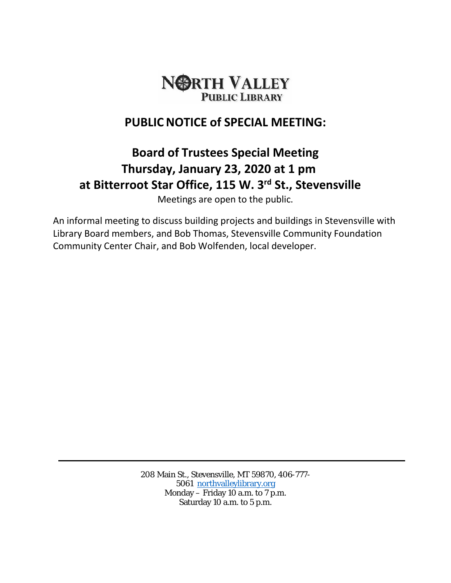

## **PUBLICNOTICE of SPECIAL MEETING:**

## **Board of Trustees Special Meeting Thursday, January 23, 2020 at 1 pm at Bitterroot Star Office, 115 W. 3rd St., Stevensville**

Meetings are open to the public.

An informal meeting to discuss building projects and buildings in Stevensville with Library Board members, and Bob Thomas, Stevensville Community Foundation Community Center Chair, and Bob Wolfenden, local developer.

> 208 Main St., Stevensville, MT 59870, 406-777- 5061 [northvalleylibrary.org](http://www.northvalleylibrary.org/) Monday – Friday 10 a.m. to 7 p.m. Saturday 10 a.m. to 5 p.m.